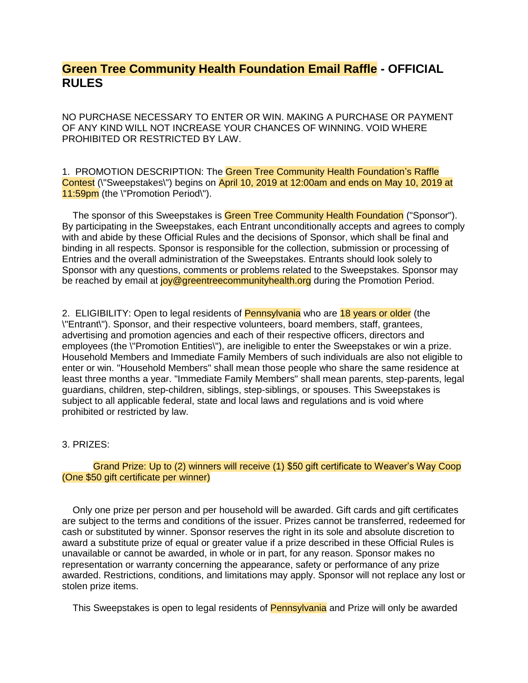## **Green Tree Community Health Foundation Email Raffle - OFFICIAL RULES**

NO PURCHASE NECESSARY TO ENTER OR WIN. MAKING A PURCHASE OR PAYMENT OF ANY KIND WILL NOT INCREASE YOUR CHANCES OF WINNING. VOID WHERE PROHIBITED OR RESTRICTED BY LAW.

1. PROMOTION DESCRIPTION: The Green Tree Community Health Foundation's Raffle Contest (\"Sweepstakes\") begins on April 10, 2019 at 12:00am and ends on May 10, 2019 at 11:59pm (the \"Promotion Period\").

The sponsor of this Sweepstakes is Green Tree Community Health Foundation ("Sponsor"). By participating in the Sweepstakes, each Entrant unconditionally accepts and agrees to comply with and abide by these Official Rules and the decisions of Sponsor, which shall be final and binding in all respects. Sponsor is responsible for the collection, submission or processing of Entries and the overall administration of the Sweepstakes. Entrants should look solely to Sponsor with any questions, comments or problems related to the Sweepstakes. Sponsor may be reached by email at **joy@greentreecommunityhealth.org** during the Promotion Period.

2. ELIGIBILITY: Open to legal residents of Pennsylvania who are 18 years or older (the \"Entrant\"). Sponsor, and their respective volunteers, board members, staff, grantees, advertising and promotion agencies and each of their respective officers, directors and employees (the \"Promotion Entities\"), are ineligible to enter the Sweepstakes or win a prize. Household Members and Immediate Family Members of such individuals are also not eligible to enter or win. "Household Members" shall mean those people who share the same residence at least three months a year. "Immediate Family Members" shall mean parents, step-parents, legal guardians, children, step-children, siblings, step-siblings, or spouses. This Sweepstakes is subject to all applicable federal, state and local laws and regulations and is void where prohibited or restricted by law.

## 3. PRIZES:

## Grand Prize: Up to (2) winners will receive (1) \$50 gift certificate to Weaver's Way Coop (One \$50 gift certificate per winner)

 Only one prize per person and per household will be awarded. Gift cards and gift certificates are subject to the terms and conditions of the issuer. Prizes cannot be transferred, redeemed for cash or substituted by winner. Sponsor reserves the right in its sole and absolute discretion to award a substitute prize of equal or greater value if a prize described in these Official Rules is unavailable or cannot be awarded, in whole or in part, for any reason. Sponsor makes no representation or warranty concerning the appearance, safety or performance of any prize awarded. Restrictions, conditions, and limitations may apply. Sponsor will not replace any lost or stolen prize items.

This Sweepstakes is open to legal residents of Pennsylvania and Prize will only be awarded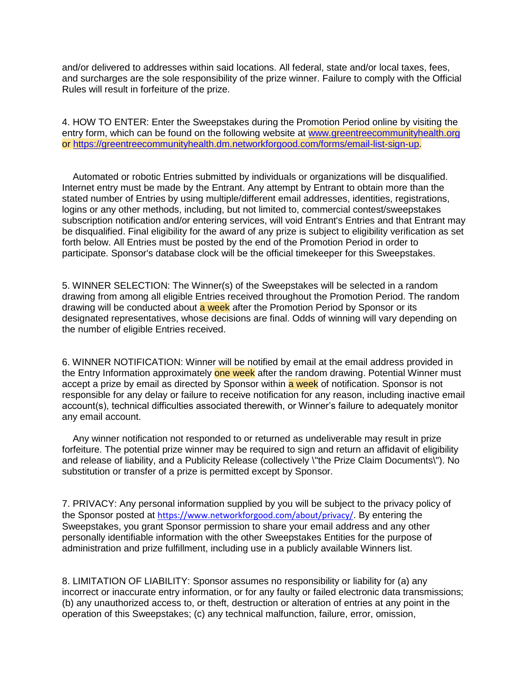and/or delivered to addresses within said locations. All federal, state and/or local taxes, fees, and surcharges are the sole responsibility of the prize winner. Failure to comply with the Official Rules will result in forfeiture of the prize.

4. HOW TO ENTER: Enter the Sweepstakes during the Promotion Period online by visiting the entry form, which can be found on the following website at [www.greentreecommunityhealth.org](http://www.greentreecommunityhealth.org/) or [https://greentreecommunityhealth.dm.networkforgood.com/forms/email-list-sign-up.](https://greentreecommunityhealth.dm.networkforgood.com/forms/email-list-sign-up)

 Automated or robotic Entries submitted by individuals or organizations will be disqualified. Internet entry must be made by the Entrant. Any attempt by Entrant to obtain more than the stated number of Entries by using multiple/different email addresses, identities, registrations, logins or any other methods, including, but not limited to, commercial contest/sweepstakes subscription notification and/or entering services, will void Entrant's Entries and that Entrant may be disqualified. Final eligibility for the award of any prize is subject to eligibility verification as set forth below. All Entries must be posted by the end of the Promotion Period in order to participate. Sponsor's database clock will be the official timekeeper for this Sweepstakes.

5. WINNER SELECTION: The Winner(s) of the Sweepstakes will be selected in a random drawing from among all eligible Entries received throughout the Promotion Period. The random drawing will be conducted about **a week** after the Promotion Period by Sponsor or its designated representatives, whose decisions are final. Odds of winning will vary depending on the number of eligible Entries received.

6. WINNER NOTIFICATION: Winner will be notified by email at the email address provided in the Entry Information approximately one week after the random drawing. Potential Winner must accept a prize by email as directed by Sponsor within a week of notification. Sponsor is not responsible for any delay or failure to receive notification for any reason, including inactive email account(s), technical difficulties associated therewith, or Winner's failure to adequately monitor any email account.

 Any winner notification not responded to or returned as undeliverable may result in prize forfeiture. The potential prize winner may be required to sign and return an affidavit of eligibility and release of liability, and a Publicity Release (collectively \"the Prize Claim Documents\"). No substitution or transfer of a prize is permitted except by Sponsor.

7. PRIVACY: Any personal information supplied by you will be subject to the privacy policy of the Sponsor posted at <https://www.networkforgood.com/about/privacy/>. By entering the Sweepstakes, you grant Sponsor permission to share your email address and any other personally identifiable information with the other Sweepstakes Entities for the purpose of administration and prize fulfillment, including use in a publicly available Winners list.

8. LIMITATION OF LIABILITY: Sponsor assumes no responsibility or liability for (a) any incorrect or inaccurate entry information, or for any faulty or failed electronic data transmissions; (b) any unauthorized access to, or theft, destruction or alteration of entries at any point in the operation of this Sweepstakes; (c) any technical malfunction, failure, error, omission,